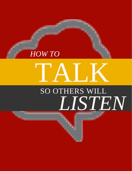# *LISTEN* SO OTHERS WILL TALK

TABLE OF CONTENTS

*HOW TO*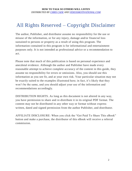### All Rights Reserved – Copyright Disclaimer

The author, Publisher, and distributor assume no responsibility for the use or misuse of the information, or for any injury, damage and/or financial loss sustained to persons or property as a result of using this program. The information contained in this program is for informational and entertainment purposes only. It is not intended as professional advice or a recommendation to act.

Please note that much of this publication is based on personal experience and anecdotal evidence. Although the author and Publisher have made every reasonable attempt to achieve complete accuracy of the content in this guide, they assume no responsibility for errors or omissions. Also, you should use this information as you see fit, and at your own risk. Your particular situation may not be exactly suited to the examples illustrated here; in fact, it's likely that they won't be the same, and you should adjust your use of the information and recommendations accordingly.

DISTRIBUTION RIGHTS. As long as this document is not altered in any way, you have permission to share and re-distribute it in its original PDF format. The content may not be distributed in any other way or format without express written, dated and signed permission from the author Publisher, and distributor.

AFFILIATE DISCLOSURE: When you click the "Get Paid To Share This eBook" button and make a purchase, the distributor of this eBook will receive a referral commission.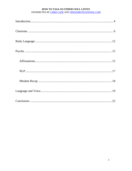#### HOW TO TALK SO OTHERS WILL LISTEN

DISTRIBUTED BY CHRIS CADE AND VIDEOSMOTIVATIONAL.COM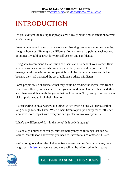## INTRODUCTION

Do you ever get the feeling that people aren't really paying much attention to what you're saying?

Learning to speak in a way that encourages listening can have numerous benefits. Imagine how your life might be different if others made it a point to seek out your opinions! It would be great for your self-esteem and confidence.

Being able to command the attention of others can also benefit your career. Have you ever known someone who wasn't particularly good at their job, but still managed to thrive within the company? It could be that your co-worker thrived because they had mastered the art of talking so others will listen.

Some people are so charismatic that they could be reading the ingredients from a box of corn flakes, and mesmerise everyone around them. On the other hand, there are others – and this might be you – that could scream "fire," and yet, no one even picks up his head to look their direction.

It's frustrating to have worthwhile things to say when no one will pay attention long enough to really listen. When others listen to you, you carry more influence. You have more impact with everyone and greater control over your life.

What's the difference? Is it in the voice? Is it body language?

It's actually a number of things, but fortunately they're all things that can be learned. You'll soon know what you need to know to talk so others will listen.

We're going to address the challenge from several angles. Your charisma, body language, [mindset,](http://www.smartrebrander.com/sl/655572) vocabulary, and more will all be addressed in this report.

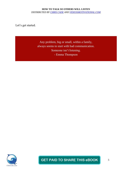Let's get started.

Any problem, big or small, within a family, always seems to start with bad communication. Someone isn't listening. - Emma Thompson

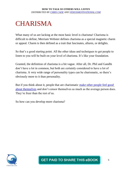# **CHARISMA**

What many of us are lacking at the most basic level is charisma! Charisma is difficult to define; Merriam Webster defines charisma as a special magnetic charm or appeal. Charm is then defined as a trait that fascinates, allures, or delights.

So that's a good starting point. All the other ideas and techniques to get people to listen to you will be built on your level of charisma. It's like your foundation.

Granted, the definition of charisma is a bit vague. After all, Dr. Phil and Gandhi don't have a lot in common, but both are certainly considered to have a lot of charisma. A very wide range of personality types can be charismatic, so there's obviously more to it than personality.

But if you think about it, people that are charismatic make other people feel good [about themselves](http://www.smartrebrander.com/sl/655582) and don't censor themselves as much as the average person does. They're freer than the rest of us.

So how can you develop more charisma?

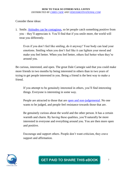Consider these ideas:

1. Smile. Attitudes [can be contagious,](http://www.smartrebrander.com/sl/655587) so let people catch something positive from you – they'll appreciate it. You'll find that if you smile more, the world will treat you differently.

Even if you don't feel like smiling, do it anyway! Your body can lead your emotions. Smiling when you don't feel like it can lighten your mood and make you feel better. When you feel better, others feel better when they're around you.

Be curious, interested, and open. The great Dale Carnegie said that you could make more friends in two months by being interested in others than in two years of trying to get people interested in you. Being a friend is the best way to make a friend.

If you attempt to be genuinely interested in others, you'll find interesting things. Everyone is interesting in some way.

People are attracted to those that are [open and non-judgemental.](http://www.smartrebrander.com/sl/655588) No one wants to be judged, and people feel resistance towards those that are.

Be genuinely curious about the world and the other person. It has a certain warmth and charm. By having these qualities, you'll naturally be more interested in everyone and everything around you. You are then more open and positive.

Encourage and support others. People don't want criticism, they crave support and affirmation.

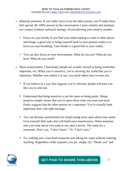- 3. Maintain presence. If you really focus in on the other person, you'll make them feel special. Be 100% present in the conversation. Listen intently and maintain eye contact (without awkward staring). Avoid allowing your mind to wander.
	- Focus on your breath. If you find your mind starting to roam to other places and things, a good way to bring yourself back to your present reality is to focus on your breathing. Your breath is a good link to your reality.
	- You can also focus on your environment. What do you see? What do you hear? What do you smell?
- 4. Show assertiveness. Charismatic people are usually viewed as being somewhat important, too. When you're assertive, you're showing the world that you're important. Whether you realize it or not, you teach others how to treat you.
	- If you behave in a way that suggests you're relevant, people will treat you like you're relevant.
	- Understand that being assertive is not the same as being pushy. Being assertive simply means that you're open about what you want and need. Pushy suggests that the other person isn't important. You're actually both important; that's the right message.
	- You can develop assertiveness by simply being more open about your needs. Give yourself little tasks that will build your assertiveness. When someone asks you what movie you want to see, pick a movie. The same for a restaurant. Don't say, "I don't know." Or "I don't care."
	- Try walking into a fast food restaurant and asking for water without ordering anything. Regardless of the response you get, simply say "Thank you" and

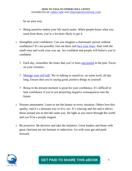be on your way.

- Being assertive makes your life much easier. When people know what you need from them, you're a lot more likely to get it.
- 1. Strengthen your confidence. Can you imagine a charismatic person without confidence? It's not possible. Get out there and [face your fears.](http://www.smartrebrander.com/sl/655597) Start with the small ones and work your way up. Act confident and people will believe you're confident.
	- $\Upsilon$  Each day, remember the times that you've been [successful](http://www.smartrebrander.com/sl/655598) in the past. Focus on your victories.
	- [Manage your self-talk.](http://www.smartrebrander.com/sl/655599) We're talking to ourselves, on some level, all day long. Ensure that you're saying good, positive things to yourself.
	- $\Upsilon$  Being in the present moment is great for your confidence. It's difficult to lack confidence if you're not projecting negative consequences into the future.
- 2. Nurture amusement. Learn to see the humor in every situation. Others love this quality, and it's a pleasant way to live, too. It's relaxing and fun and it allows those around you to feel the same way. Be light as you move through the world and you'll be a people magnet.
- 3. Be proactive. Be decisive and take the initiative. Great leaders and those with great charisma are not hesitant or indecisive. Go with your gut and push forward.

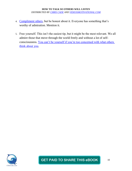- 4. [Compliment others,](http://www.smartrebrander.com/sl/655604) but be honest about it. Everyone has something that's worthy of admiration. Mention it.
- 5. Free yourself. This isn't the easiest tip, but it might be the most relevant. We all admire those that move through the world freely and without a lot of selfconsciousness. [You can't be yourself if you're too concerned with what others](http://www.smartrebrander.com/sl/655605)  [think about you.](http://www.smartrebrander.com/sl/655606)



### **GET PAID TO SHARE THIS eBOOK**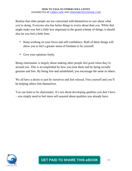Realize that other people are too concerned with themselves to care about what you're doing. Everyone else has better things to worry about than you. While that might make you feel a little less important in the grand scheme of things, it should also let you feel a little freer.

- Keep working on your focus and self-confidence. Both of these things will allow you to feel a greater sense of freedom to be yourself.
- Give your opinions freely.

Being charismatic is largely about making other people feel good when they're around you. This is accomplished by how you treat them and by being socially genuine and free. By being free and uninhibited, you encourage the same in others.

We all have a desire to just be ourselves and feel relaxed. Free yourself and you'll be helping others free themselves.

You can learn to be charismatic. It's not about developing qualities you don't have – you simply need to feel more self-assured about qualities you already have.

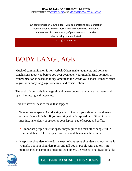But communication is two-sided – vital and profound communication makes demands also on those who are to receive it... demands in the sense of concentration, of genuine effort to receive what is being communicated.

- Roger Sessions

# BODY LANGUAGE

Much of communication is non-verbal. Others make judgments and come to conclusions about you before you ever even open your mouth. Since so much of communication is based on things other than the words you choose, it makes sense to give your body language some time and consideration.

The goal of your body language should be to convey that you are important and open, interesting and interested.

Here are several ideas to make that happen:

- 1. Take up some space. Avoid acting small. Open up your shoulders and extend out your legs a little bit. If you're sitting at table, spread out a little bit; at a meeting, take plenty of space for your laptop, pad of paper, and coffee.
	- Important people take the space they require and then other people fill in around them. Take the space you need and then take a little more.
- 2. Keep your shoulders relaxed. It's easy to have tense shoulders and not notice it yourself. Let your shoulders relax and fall down. People with authority are more relaxed in common situations than others. Be relaxed, or at least look like

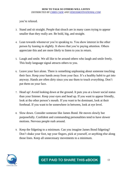you're relaxed.

- 3. Stand and sit straight. People that slouch are in many cases trying to appear smaller than they really are. Be bold, big, and straight.
- 4. Lean towards whomever you're speaking to. You show interest in the other person by leaning in slightly. It shows that you're paying attention. Others appreciate this and are more likely to listen to you in return.
- 5. Laugh and smile. We all like to be around others who laugh and smile freely. This body language signal attracts others to you.
- 6. Leave your face alone. There is something unpleasing about someone touching their face. Keep your hands away from your face. It's a healthy habit to get into anyway. Hands are often dirty since you use them to touch everything. Don't put them on your face.
- 7. Head up! Avoid looking down at the ground. It puts you at a lower social status than your listener. Keep your eyes and head up. If you want to appear friendly, look at the other person's mouth. If you want to be dominant, look at their forehead. If you want to be somewhere in between, look at eye level.
- 8. Slow down. Consider someone like James Bond. He moves slowly but purposefully. Confident and commanding personalities tend to have slower motions. Nervous people rush around.
- 9. Keep the fidgeting to a minimum. Can you imagine James Bond fidgeting? Don't shake your foot, tap your fingers, pick at yourself, or anything else along those lines. Keep all unnecessary movements to a minimum.

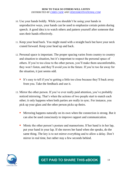- 10. Use your hands boldly. While you shouldn't be using your hands in unproductive ways, your hands can be used to emphasize certain points during speech. A good idea is to watch others and pattern yourself after someone that uses their hands effectively.
- 11. Keep your head back. You might stand with a straight back but have your neck craned forward. Keep your head up and back.
- 12. Personal space is important. The proper spacing varies from country to country and situation to situation, but it's important to respect the personal space of others. If you're too close to the other person, you'll make them uncomfortable, they won't listen, and they'll avoid you in the future. If you're too far away for the situation, it just seems odd.
	- It's easy to tell if you're getting a little too close because they'll back away from you. Take the feedback and use it.
- 13. Mirror the other person. If you've ever really paid attention, you've probably noticed mirroring. That's when the actions of two people start to match each other; it only happens when both parties are really in sync. For instance, you pick up your glass and the other person picks up theirs.
	- **Mirroring happens naturally on its own when the connection is strong. But it** can also be used consciously to improve rapport and communication.
	- Mimic the other person's posture and mannerisms. If her hand is in her lap, put your hand in your lap. If she moves her hand when she speaks, do the same thing. The key is to not mirror everything and to allow a delay. Don't mirror in real time, but rather stay a few seconds behind.

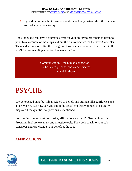If you do it too much, it looks odd and can actually distract the other person from what you have to say.

Body language can have a dramatic effect on your ability to get others to listen to you. Take a couple of these tips and put them into practice for the next 3-4 weeks. Then add a few more after the first group have become habitual. In no time at all, you'll be commanding attention like never before.

> Communication – the human connection – is the key to personal and career success. - Paul J. Meyer

### **PSYCHE**

We've touched on a few things related to beliefs and attitude, like confidence and assertiveness. But how can you attain the actual mindset you need to naturally display all the qualities we previously mentioned?

For creating the mindset you desire, affirmations and NLP (Neuro-Linguistic Programming) are excellent and effective tools. They both speak to your subconscious and can change your beliefs at the root.

### AFFIRMATIONS

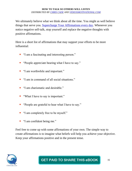We ultimately believe what we think about all the time. You might as well believe things that serve you. [Supercharge Your Affirmations every day.](http://www.smartrebrander.com/sl/655631) Whenever you notice negative self-talk, stop yourself and replace the negative thoughts with positive affirmations.

Here is a short list of affirmations that may support your efforts to be more influential:

- **I** "I am a fascinating and interesting person."
- **•** "People appreciate hearing what I have to say."
- **I** "I am worthwhile and important."
- **I** "I am in command of all social situations."
- **I** "I am charismatic and desirable."
- "What I have to say is important."
- **•** "People are grateful to hear what I have to say."
- **I** "I am completely free to be myself."
- "I am confident being me."

Feel free to come up with some affirmations of your own. The simple way to create affirmations is to imagine what beliefs will help you achieve your objective. Keep your affirmations positive and in the present tense.

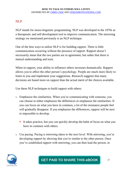### NLP

NLP stands for neuro-linguistic programming. NLP was developed in the 1970s as a therapeutic and self-development tool to improve communication. The mirroring strategy we mentioned previously is an NLP technique.

One of the best ways to utilize NLP is for building rapport. There is little communication occurring without the presence of rapport. Rapport doesn't necessarily mean that the two parties are in agreement, but rather that there is mutual understanding and trust.

When in rapport, your ability to influence others increases dramatically. Rapport allows you to affect the other person's psychology. People are much more likely to listen to you and implement your suggestions. Research suggests that many decisions are based more on rapport than the actual merit of the choices available.

Use these NLP techniques to build rapport with others:

- 1. Emphasize the similarities. When you're communicating with someone, you can choose to either emphasize the differences or emphasize the similarities. If you can focus on what you have in common, a lot of the resistance people feel will gradually disappear. If you emphasize the differences, rapport will be next to impossible to develop.
	- It takes practice, but you can quickly develop the habit of focus on what you have in common with others.
- 1. Use pacing. Pacing is mirroring taken to the next level. With mirroring, you're developing rapport by showing that you're similar to the other person. Once you've established rapport with mirroring, you can then lead the person; in

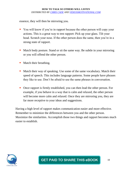essence, they will then be mirroring you.

- You will know if you're in rapport because the other person will copy your actions. This is a great way to test rapport: Pick up your glass. Tilt your head. Scratch your nose. If the other person does the same, then you're in a strong state of rapport.
- Match body posture. Stand or sit the same way. Be subtle in your mirroring or you will offend the other person.
- Match their breathing.
- Match their way of speaking. Use some of the same vocabulary. Match their speed of speech. This includes language patterns. Some people have phrases they like to use. Don't be afraid to use the same phrases in conversation.
- Once rapport is firmly established, you can then lead the other person. For example, if you behave in a way that is calm and relaxed, the other person will become more calm and relaxed. Once they are mirroring you, they are far more receptive to your ideas and suggestions.

Having a high level of rapport makes communication easier and more effective. Remember to minimize the differences between you and the other person. Maximize the similarities. Accomplish those two things and rapport becomes much easier to establish.

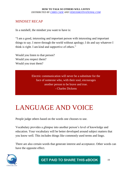### MINDSET RECAP

In a nutshell, the mindset you want to have is:

"I am a good, interesting and important person with interesting and important things to say. I move through the world without apology; I do and say whatever I think is right. I am kind and supportive of others."

Would you listen to that person? Would you respect them? Would you trust them?

> Electric communication will never be a substitute for the face of someone who, with their soul, encourages another person to be brave and true. - Charles Dickens

# LANGUAGE AND VOICE

People judge others based on the words one chooses to use.

Vocabulary provides a glimpse into another person's level of knowledge and education. Your vocabulary will be better developed around subject matters that you know well. This includes things like commonly used terms and lingo.

There are also certain words that generate interest and acceptance. Other words can have the opposite effect.



**GET PAID TO SHARE THIS eBOOK**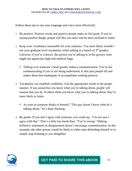Follow these tips to use your language and voice more effectively:

- 1. Be positive. Positive words and positive people make us feel good. If you're saying positive things, people will like you more and be more inclined to listen.
- 2. Keep your vocabulary reasonable for your audience. You most likely wouldn't use your graduate level vocabulary while talking to a bunch of  $3<sup>rd</sup>$  graders. Likewise, if you're a doctor, the person you're talking to in the grocery store might not appreciate high-end medical lingo.
	- Talking over someone's head greatly reduces communication. You're not communicating if you're not being understood. It also puts people off and makes them feel inadequate. It accomplishes nothing positive.
- 3. Vocabulary can establish credibility. Use the appropriate words in the proper manner. If you sound like you know what you're talking about, people will assume that you do. If others think you know what you're talking about, they're more likely to listen.
	- As soon as someone thinks to himself, "This guy doesn't know what he's talking about," he's done listening.
- 4. Be gentle. If you don't agree with someone, you could say, "I'm not sure I agree with that." That's a little less harsh than, "You're wrong." Making definitive statements in disagreement doesn't encourage communication. In this example, the other person would be likely to either start defending himself or to simply stop listening to you altogether.

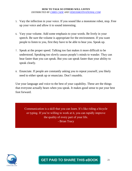- 5. Vary the inflection in your voice. If you sound like a monotone robot, stop. Free up your voice and allow it to sound interesting.
- 6. Vary your volume. Add some emphasis to your words. Be lively in your speech. Be sure the volume is appropriate for the environment. If you want people to listen to you, first they have to be able to hear you. Speak up.
- 7. Speak at the proper speed. Talking too fast makes it more difficult to be understood. Speaking too slowly causes people's minds to wander. They can hear faster than you can speak. But you can speak faster than your ability to speak clearly.
- 8. Enunciate. If people are constantly asking you to repeat yourself, you likely need to either speak up or enunciate. Don't mumble.

Use your language and voice to the best of your capability. These are the things that everyone actually hears when you speak. It makes good sense to put your best foot forward.

Communication is a skill that you can learn. It's like riding a bicycle or typing. If you're willing to work at it, you can rapidly improve the quality of every part of your life. - Brian Tracy

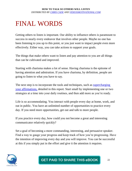## FINAL WORDS

Getting others to listen is important. Our ability to influence others is paramount to success in nearly every endeavor that involves other people. Maybe no one has been listening to you up to this point, or you just want to impact people even more effectively. Either way, you can take actions to support your goals.

The things that make others want to listen and pay attention to you are all things that can be cultivated and improved.

Starting with charisma makes a lot of sense. Having charisma is the epitome of having attention and admiration. If you have charisma, by definition, people are going to listen to what you have to say.

The next step is to incorporate the tools and techniques, such as supercharging [your affirmations,](http://www.smartrebrander.com/sl/655657) detailed in this report. Start small by implementing one or two strategies at a time into your daily routines, and then add more as you're ready.

Life is so accommodating. You interact with people every day at home, work, and out in public. You have an unlimited number of opportunities to practice every day. If you need more opportunities, get out and talk to more people.

If you practice every day, how could you not become a great and interesting communicator relatively quickly?

Set a goal of becoming a more commanding, interesting, and persuasive speaker. Find a way to gauge your progress and keep track of how you're progressing. Have the intention of improving every day and you will improve. You can be successful at this if you simply put in the effort and give it the attention it requires.